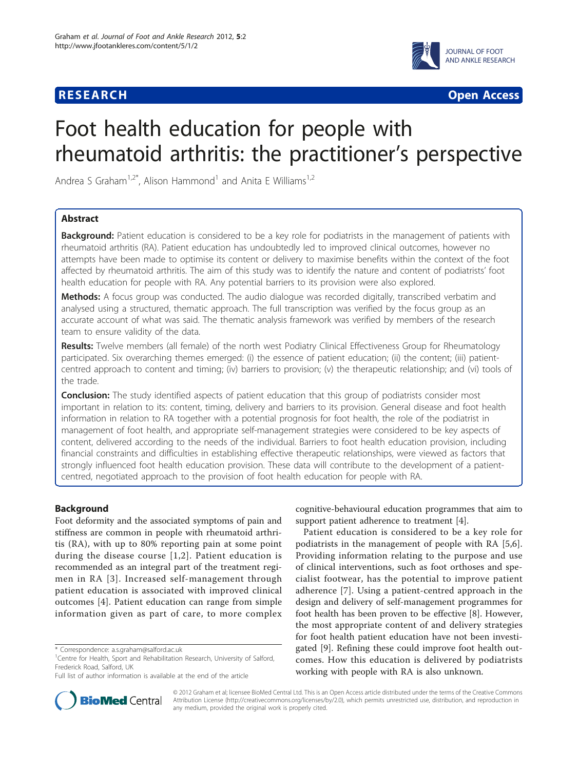

**RESEARCH CONSTRUCTION CONSTRUCTS** 

# Foot health education for people with rheumatoid arthritis: the practitioner's perspective

Andrea S Graham<sup>1,2\*</sup>, Alison Hammond<sup>1</sup> and Anita E Williams<sup>1,2</sup>

# Abstract

Background: Patient education is considered to be a key role for podiatrists in the management of patients with rheumatoid arthritis (RA). Patient education has undoubtedly led to improved clinical outcomes, however no attempts have been made to optimise its content or delivery to maximise benefits within the context of the foot affected by rheumatoid arthritis. The aim of this study was to identify the nature and content of podiatrists' foot health education for people with RA. Any potential barriers to its provision were also explored.

**Methods:** A focus group was conducted. The audio dialogue was recorded digitally, transcribed verbatim and analysed using a structured, thematic approach. The full transcription was verified by the focus group as an accurate account of what was said. The thematic analysis framework was verified by members of the research team to ensure validity of the data.

Results: Twelve members (all female) of the north west Podiatry Clinical Effectiveness Group for Rheumatology participated. Six overarching themes emerged: (i) the essence of patient education; (ii) the content; (iii) patientcentred approach to content and timing; (iv) barriers to provision; (v) the therapeutic relationship; and (vi) tools of the trade.

**Conclusion:** The study identified aspects of patient education that this group of podiatrists consider most important in relation to its: content, timing, delivery and barriers to its provision. General disease and foot health information in relation to RA together with a potential prognosis for foot health, the role of the podiatrist in management of foot health, and appropriate self-management strategies were considered to be key aspects of content, delivered according to the needs of the individual. Barriers to foot health education provision, including financial constraints and difficulties in establishing effective therapeutic relationships, were viewed as factors that strongly influenced foot health education provision. These data will contribute to the development of a patientcentred, negotiated approach to the provision of foot health education for people with RA.

#### Background

Foot deformity and the associated symptoms of pain and stiffness are common in people with rheumatoid arthritis (RA), with up to 80% reporting pain at some point during the disease course [[1,2\]](#page-7-0). Patient education is recommended as an integral part of the treatment regimen in RA [\[3\]](#page-7-0). Increased self-management through patient education is associated with improved clinical outcomes [[4\]](#page-7-0). Patient education can range from simple information given as part of care, to more complex



Patient education is considered to be a key role for podiatrists in the management of people with RA [[5,6](#page-7-0)]. Providing information relating to the purpose and use of clinical interventions, such as foot orthoses and specialist footwear, has the potential to improve patient adherence [[7](#page-7-0)]. Using a patient-centred approach in the design and delivery of self-management programmes for foot health has been proven to be effective [[8\]](#page-7-0). However, the most appropriate content of and delivery strategies for foot health patient education have not been investigated [\[9](#page-7-0)]. Refining these could improve foot health outcomes. How this education is delivered by podiatrists working with people with RA is also unknown.



© 2012 Graham et al; licensee BioMed Central Ltd. This is an Open Access article distributed under the terms of the Creative Commons Attribution License [\(http://creativecommons.org/licenses/by/2.0](http://creativecommons.org/licenses/by/2.0)), which permits unrestricted use, distribution, and reproduction in any medium, provided the original work is properly cited.

<sup>\*</sup> Correspondence: [a.s.graham@salford.ac.uk](mailto:a.s.graham@salford.ac.uk)

<sup>&</sup>lt;sup>1</sup>Centre for Health, Sport and Rehabilitation Research, University of Salford, Frederick Road, Salford, UK

Full list of author information is available at the end of the article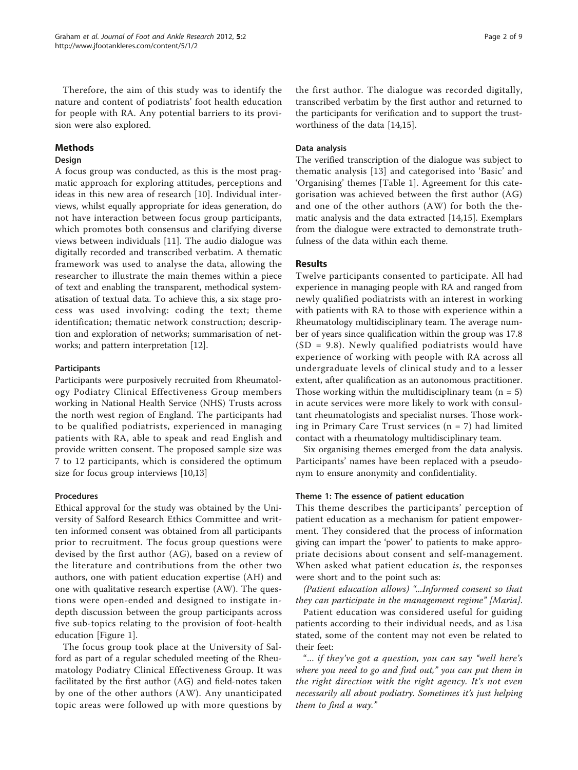Therefore, the aim of this study was to identify the nature and content of podiatrists' foot health education for people with RA. Any potential barriers to its provision were also explored.

# Methods

## Design

A focus group was conducted, as this is the most pragmatic approach for exploring attitudes, perceptions and ideas in this new area of research [[10\]](#page-7-0). Individual interviews, whilst equally appropriate for ideas generation, do not have interaction between focus group participants, which promotes both consensus and clarifying diverse views between individuals [[11\]](#page-7-0). The audio dialogue was digitally recorded and transcribed verbatim. A thematic framework was used to analyse the data, allowing the researcher to illustrate the main themes within a piece of text and enabling the transparent, methodical systematisation of textual data. To achieve this, a six stage process was used involving: coding the text; theme identification; thematic network construction; description and exploration of networks; summarisation of networks; and pattern interpretation [\[12](#page-7-0)].

# **Participants**

Participants were purposively recruited from Rheumatology Podiatry Clinical Effectiveness Group members working in National Health Service (NHS) Trusts across the north west region of England. The participants had to be qualified podiatrists, experienced in managing patients with RA, able to speak and read English and provide written consent. The proposed sample size was 7 to 12 participants, which is considered the optimum size for focus group interviews [[10,13\]](#page-7-0)

## Procedures

Ethical approval for the study was obtained by the University of Salford Research Ethics Committee and written informed consent was obtained from all participants prior to recruitment. The focus group questions were devised by the first author (AG), based on a review of the literature and contributions from the other two authors, one with patient education expertise (AH) and one with qualitative research expertise (AW). The questions were open-ended and designed to instigate indepth discussion between the group participants across five sub-topics relating to the provision of foot-health education [Figure [1\]](#page-2-0).

The focus group took place at the University of Salford as part of a regular scheduled meeting of the Rheumatology Podiatry Clinical Effectiveness Group. It was facilitated by the first author (AG) and field-notes taken by one of the other authors (AW). Any unanticipated topic areas were followed up with more questions by

the first author. The dialogue was recorded digitally, transcribed verbatim by the first author and returned to the participants for verification and to support the trustworthiness of the data [[14,15](#page-7-0)].

# Data analysis

The verified transcription of the dialogue was subject to thematic analysis [[13](#page-7-0)] and categorised into 'Basic' and 'Organising' themes [Table [1](#page-3-0)]. Agreement for this categorisation was achieved between the first author (AG) and one of the other authors (AW) for both the thematic analysis and the data extracted [\[14,15](#page-7-0)]. Exemplars from the dialogue were extracted to demonstrate truthfulness of the data within each theme.

# Results

Twelve participants consented to participate. All had experience in managing people with RA and ranged from newly qualified podiatrists with an interest in working with patients with RA to those with experience within a Rheumatology multidisciplinary team. The average number of years since qualification within the group was 17.8  $(SD = 9.8)$ . Newly qualified podiatrists would have experience of working with people with RA across all undergraduate levels of clinical study and to a lesser extent, after qualification as an autonomous practitioner. Those working within the multidisciplinary team  $(n = 5)$ in acute services were more likely to work with consultant rheumatologists and specialist nurses. Those working in Primary Care Trust services  $(n = 7)$  had limited contact with a rheumatology multidisciplinary team.

Six organising themes emerged from the data analysis. Participants' names have been replaced with a pseudonym to ensure anonymity and confidentiality.

## Theme 1: The essence of patient education

This theme describes the participants' perception of patient education as a mechanism for patient empowerment. They considered that the process of information giving can impart the 'power' to patients to make appropriate decisions about consent and self-management. When asked what patient education is, the responses were short and to the point such as:

(Patient education allows) "...Informed consent so that they can participate in the management regime" [Maria].

Patient education was considered useful for guiding patients according to their individual needs, and as Lisa stated, some of the content may not even be related to their feet:

"... if they've got a question, you can say "well here's where you need to go and find out," you can put them in the right direction with the right agency. It's not even necessarily all about podiatry. Sometimes it's just helping them to find a way."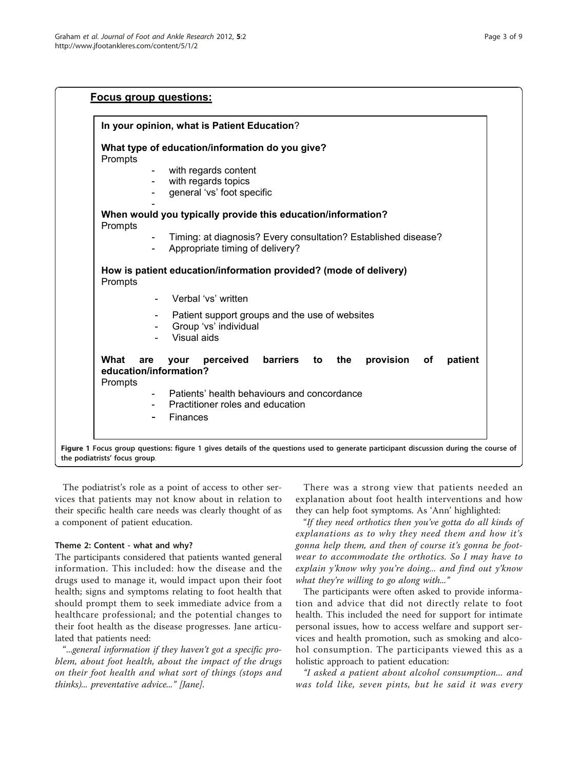<span id="page-2-0"></span>

|                 | In your opinion, what is Patient Education?                                                             |
|-----------------|---------------------------------------------------------------------------------------------------------|
| Prompts         | What type of education/information do you give?                                                         |
|                 | with regards content<br>$\overline{\phantom{a}}$                                                        |
|                 | with regards topics                                                                                     |
|                 | general 'vs' foot specific                                                                              |
| Prompts         | When would you typically provide this education/information?                                            |
|                 | Timing: at diagnosis? Every consultation? Established disease?<br>Appropriate timing of delivery?       |
| Prompts         | How is patient education/information provided? (mode of delivery)                                       |
|                 | Verbal 'vs' written                                                                                     |
|                 | Patient support groups and the use of websites<br>Group 'vs' individual<br>Visual aids                  |
| What<br>Prompts | perceived<br>barriers to the<br>provision of<br>patient<br><b>vour</b><br>are<br>education/information? |
|                 | Patients' health behaviours and concordance                                                             |
|                 | Practitioner roles and education                                                                        |
|                 | <b>Finances</b>                                                                                         |

The podiatrist's role as a point of access to other services that patients may not know about in relation to their specific health care needs was clearly thought of as a component of patient education.

## Theme 2: Content - what and why?

The participants considered that patients wanted general information. This included: how the disease and the drugs used to manage it, would impact upon their foot health; signs and symptoms relating to foot health that should prompt them to seek immediate advice from a healthcare professional; and the potential changes to their foot health as the disease progresses. Jane articulated that patients need:

"...general information if they haven't got a specific problem, about foot health, about the impact of the drugs on their foot health and what sort of things (stops and thinks)... preventative advice..." [Jane].

There was a strong view that patients needed an explanation about foot health interventions and how they can help foot symptoms. As 'Ann' highlighted:

"If they need orthotics then you've gotta do all kinds of explanations as to why they need them and how it's gonna help them, and then of course it's gonna be footwear to accommodate the orthotics. So I may have to explain y'know why you're doing... and find out y'know what they're willing to go along with..."

The participants were often asked to provide information and advice that did not directly relate to foot health. This included the need for support for intimate personal issues, how to access welfare and support services and health promotion, such as smoking and alcohol consumption. The participants viewed this as a holistic approach to patient education:

"I asked a patient about alcohol consumption... and was told like, seven pints, but he said it was every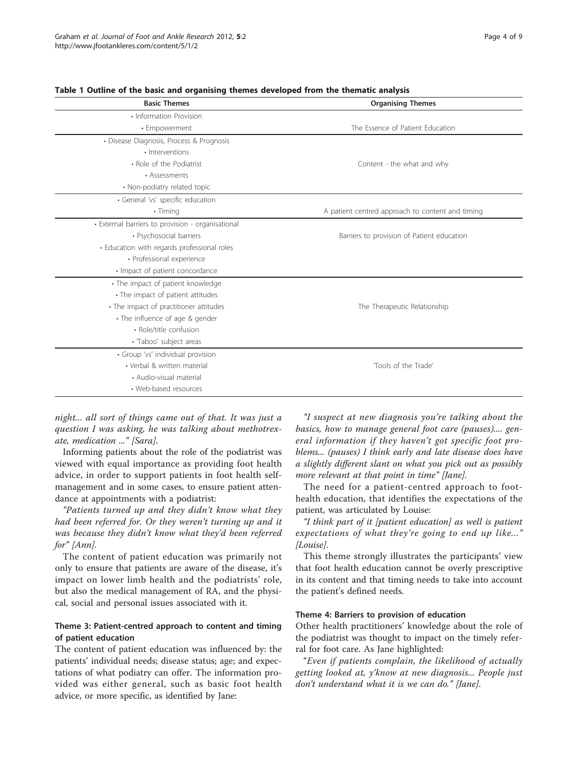| <b>Basic Themes</b>                               | <b>Organising Themes</b>                         |
|---------------------------------------------------|--------------------------------------------------|
| • Information Provision                           |                                                  |
| • Empowerment                                     | The Essence of Patient Education                 |
| • Disease Diagnosis, Process & Prognosis          |                                                  |
| • Interventions                                   |                                                  |
| • Role of the Podiatrist                          | Content - the what and why                       |
| • Assessments                                     |                                                  |
| • Non-podiatry related topic                      |                                                  |
| · General 'vs' specific education                 |                                                  |
| • Timing                                          | A patient centred approach to content and timing |
| · External barriers to provision - organisational |                                                  |
| · Psychosocial barriers                           | Barriers to provision of Patient education       |
| · Education with regards professional roles       |                                                  |
| · Professional experience                         |                                                  |
| · Impact of patient concordance                   |                                                  |
| • The impact of patient knowledge                 |                                                  |
| • The impact of patient attitudes                 |                                                  |
| • The impact of practitioner attitudes            | The Therapeutic Relationship                     |
| • The influence of age & gender                   |                                                  |
| • Role/title confusion                            |                                                  |
| · Taboo' subject areas                            |                                                  |
| • Group 'vs' individual provision                 |                                                  |
| • Verbal & written material                       | Tools of the Trade'                              |
| • Audio-visual material                           |                                                  |
| • Web-based resources                             |                                                  |

<span id="page-3-0"></span>Table 1 Outline of the basic and organising themes developed from the thematic analysis

night... all sort of things came out of that. It was just a question I was asking, he was talking about methotrexate, medication ..." [Sara].

Informing patients about the role of the podiatrist was viewed with equal importance as providing foot health advice, in order to support patients in foot health selfmanagement and in some cases, to ensure patient attendance at appointments with a podiatrist:

"Patients turned up and they didn't know what they had been referred for. Or they weren't turning up and it was because they didn't know what they'd been referred for" [Ann].

The content of patient education was primarily not only to ensure that patients are aware of the disease, it's impact on lower limb health and the podiatrists' role, but also the medical management of RA, and the physical, social and personal issues associated with it.

## Theme 3: Patient-centred approach to content and timing of patient education

The content of patient education was influenced by: the patients' individual needs; disease status; age; and expectations of what podiatry can offer. The information provided was either general, such as basic foot health advice, or more specific, as identified by Jane:

"I suspect at new diagnosis you're talking about the basics, how to manage general foot care (pauses).... general information if they haven't got specific foot problems... (pauses) I think early and late disease does have a slightly different slant on what you pick out as possibly more relevant at that point in time" [Jane].

The need for a patient-centred approach to foothealth education, that identifies the expectations of the patient, was articulated by Louise:

"I think part of it [patient education] as well is patient expectations of what they're going to end up like..." [Louise].

This theme strongly illustrates the participants' view that foot health education cannot be overly prescriptive in its content and that timing needs to take into account the patient's defined needs.

#### Theme 4: Barriers to provision of education

Other health practitioners' knowledge about the role of the podiatrist was thought to impact on the timely referral for foot care. As Jane highlighted:

"Even if patients complain, the likelihood of actually getting looked at, y'know at new diagnosis... People just don't understand what it is we can do." [Jane].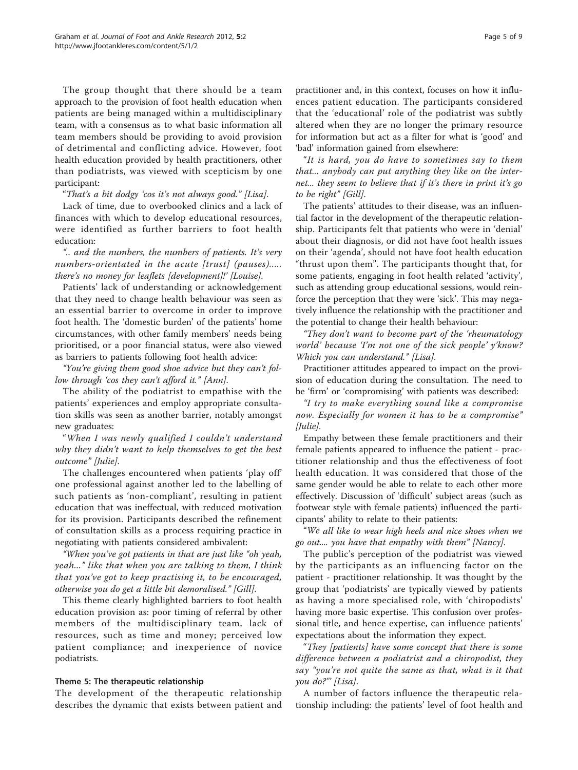The group thought that there should be a team approach to the provision of foot health education when patients are being managed within a multidisciplinary team, with a consensus as to what basic information all team members should be providing to avoid provision of detrimental and conflicting advice. However, foot health education provided by health practitioners, other than podiatrists, was viewed with scepticism by one participant:

"That's a bit dodgy 'cos it's not always good." [Lisa].

Lack of time, due to overbooked clinics and a lack of finances with which to develop educational resources, were identified as further barriers to foot health education:

".. and the numbers, the numbers of patients. It's very numbers-orientated in the acute [trust] (pauses)..... there's no money for leaflets [development]!' [Louise].

Patients' lack of understanding or acknowledgement that they need to change health behaviour was seen as an essential barrier to overcome in order to improve foot health. The 'domestic burden' of the patients' home circumstances, with other family members' needs being prioritised, or a poor financial status, were also viewed as barriers to patients following foot health advice:

"You're giving them good shoe advice but they can't follow through 'cos they can't afford it." [Ann].

The ability of the podiatrist to empathise with the patients' experiences and employ appropriate consultation skills was seen as another barrier, notably amongst new graduates:

"When I was newly qualified I couldn't understand why they didn't want to help themselves to get the best outcome" [Julie].

The challenges encountered when patients 'play off' one professional against another led to the labelling of such patients as 'non-compliant', resulting in patient education that was ineffectual, with reduced motivation for its provision. Participants described the refinement of consultation skills as a process requiring practice in negotiating with patients considered ambivalent:

"When you've got patients in that are just like "oh yeah, yeah..." like that when you are talking to them, I think that you've got to keep practising it, to be encouraged, otherwise you do get a little bit demoralised." [Gill].

This theme clearly highlighted barriers to foot health education provision as: poor timing of referral by other members of the multidisciplinary team, lack of resources, such as time and money; perceived low patient compliance; and inexperience of novice podiatrists.

#### Theme 5: The therapeutic relationship

The development of the therapeutic relationship describes the dynamic that exists between patient and practitioner and, in this context, focuses on how it influences patient education. The participants considered that the 'educational' role of the podiatrist was subtly altered when they are no longer the primary resource for information but act as a filter for what is 'good' and 'bad' information gained from elsewhere:

"It is hard, you do have to sometimes say to them that... anybody can put anything they like on the internet... they seem to believe that if it's there in print it's go to be right" [Gill].

The patients' attitudes to their disease, was an influential factor in the development of the therapeutic relationship. Participants felt that patients who were in 'denial' about their diagnosis, or did not have foot health issues on their 'agenda', should not have foot health education "thrust upon them". The participants thought that, for some patients, engaging in foot health related 'activity', such as attending group educational sessions, would reinforce the perception that they were 'sick'. This may negatively influence the relationship with the practitioner and the potential to change their health behaviour:

"They don't want to become part of the 'rheumatology world' because 'I'm not one of the sick people' y'know? Which you can understand." [Lisa].

Practitioner attitudes appeared to impact on the provision of education during the consultation. The need to be 'firm' or 'compromising' with patients was described:

"I try to make everything sound like a compromise now. Especially for women it has to be a compromise" [Julie].

Empathy between these female practitioners and their female patients appeared to influence the patient - practitioner relationship and thus the effectiveness of foot health education. It was considered that those of the same gender would be able to relate to each other more effectively. Discussion of 'difficult' subject areas (such as footwear style with female patients) influenced the participants' ability to relate to their patients:

"We all like to wear high heels and nice shoes when we go out.... you have that empathy with them" [Nancy].

The public's perception of the podiatrist was viewed by the participants as an influencing factor on the patient - practitioner relationship. It was thought by the group that 'podiatrists' are typically viewed by patients as having a more specialised role, with 'chiropodists' having more basic expertise. This confusion over professional title, and hence expertise, can influence patients' expectations about the information they expect.

"They [patients] have some concept that there is some difference between a podiatrist and a chiropodist, they say "you're not quite the same as that, what is it that you do?"' [Lisa].

A number of factors influence the therapeutic relationship including: the patients' level of foot health and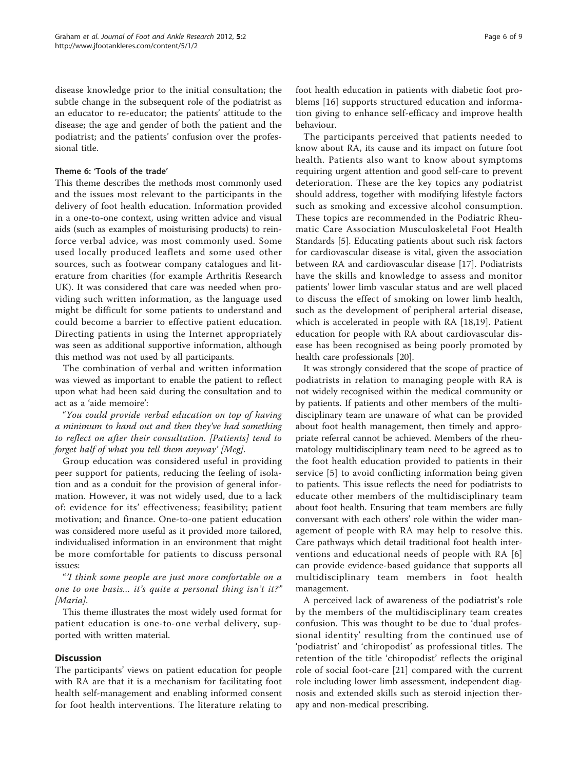disease knowledge prior to the initial consultation; the subtle change in the subsequent role of the podiatrist as an educator to re-educator; the patients' attitude to the disease; the age and gender of both the patient and the podiatrist; and the patients' confusion over the professional title.

#### Theme 6: 'Tools of the trade'

This theme describes the methods most commonly used and the issues most relevant to the participants in the delivery of foot health education. Information provided in a one-to-one context, using written advice and visual aids (such as examples of moisturising products) to reinforce verbal advice, was most commonly used. Some used locally produced leaflets and some used other sources, such as footwear company catalogues and literature from charities (for example Arthritis Research UK). It was considered that care was needed when providing such written information, as the language used might be difficult for some patients to understand and could become a barrier to effective patient education. Directing patients in using the Internet appropriately was seen as additional supportive information, although this method was not used by all participants.

The combination of verbal and written information was viewed as important to enable the patient to reflect upon what had been said during the consultation and to act as a 'aide memoire':

"You could provide verbal education on top of having a minimum to hand out and then they've had something to reflect on after their consultation. [Patients] tend to forget half of what you tell them anyway' [Meg].

Group education was considered useful in providing peer support for patients, reducing the feeling of isolation and as a conduit for the provision of general information. However, it was not widely used, due to a lack of: evidence for its' effectiveness; feasibility; patient motivation; and finance. One-to-one patient education was considered more useful as it provided more tailored, individualised information in an environment that might be more comfortable for patients to discuss personal issues:

"'I think some people are just more comfortable on a one to one basis... it's quite a personal thing isn't it?" [Maria].

This theme illustrates the most widely used format for patient education is one-to-one verbal delivery, supported with written material.

## **Discussion**

The participants' views on patient education for people with RA are that it is a mechanism for facilitating foot health self-management and enabling informed consent for foot health interventions. The literature relating to Page 6 of 9

foot health education in patients with diabetic foot problems [[16\]](#page-7-0) supports structured education and information giving to enhance self-efficacy and improve health behaviour.

The participants perceived that patients needed to know about RA, its cause and its impact on future foot health. Patients also want to know about symptoms requiring urgent attention and good self-care to prevent deterioration. These are the key topics any podiatrist should address, together with modifying lifestyle factors such as smoking and excessive alcohol consumption. These topics are recommended in the Podiatric Rheumatic Care Association Musculoskeletal Foot Health Standards [\[5](#page-7-0)]. Educating patients about such risk factors for cardiovascular disease is vital, given the association between RA and cardiovascular disease [[17\]](#page-7-0). Podiatrists have the skills and knowledge to assess and monitor patients' lower limb vascular status and are well placed to discuss the effect of smoking on lower limb health, such as the development of peripheral arterial disease, which is accelerated in people with RA [[18,19](#page-8-0)]. Patient education for people with RA about cardiovascular disease has been recognised as being poorly promoted by health care professionals [[20\]](#page-8-0).

It was strongly considered that the scope of practice of podiatrists in relation to managing people with RA is not widely recognised within the medical community or by patients. If patients and other members of the multidisciplinary team are unaware of what can be provided about foot health management, then timely and appropriate referral cannot be achieved. Members of the rheumatology multidisciplinary team need to be agreed as to the foot health education provided to patients in their service [[5\]](#page-7-0) to avoid conflicting information being given to patients. This issue reflects the need for podiatrists to educate other members of the multidisciplinary team about foot health. Ensuring that team members are fully conversant with each others' role within the wider management of people with RA may help to resolve this. Care pathways which detail traditional foot health interventions and educational needs of people with RA [[6](#page-7-0)] can provide evidence-based guidance that supports all multidisciplinary team members in foot health management.

A perceived lack of awareness of the podiatrist's role by the members of the multidisciplinary team creates confusion. This was thought to be due to 'dual professional identity' resulting from the continued use of 'podiatrist' and 'chiropodist' as professional titles. The retention of the title 'chiropodist' reflects the original role of social foot-care [[21\]](#page-8-0) compared with the current role including lower limb assessment, independent diagnosis and extended skills such as steroid injection therapy and non-medical prescribing.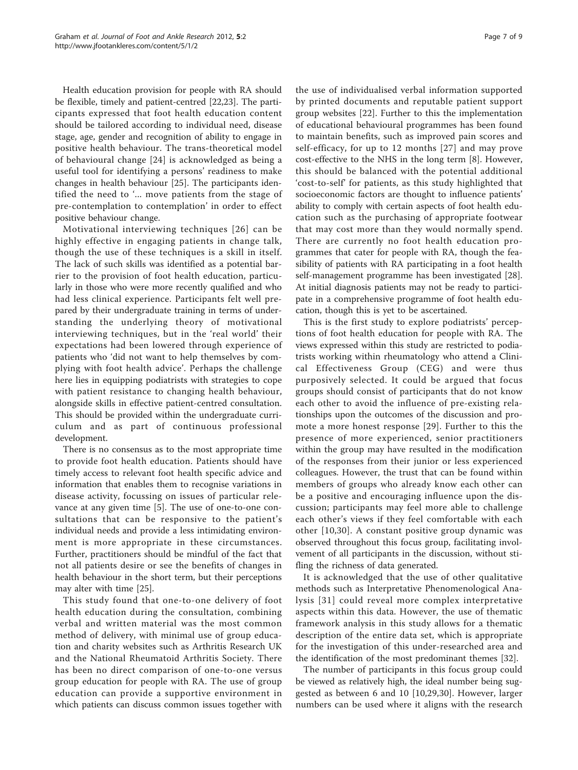Health education provision for people with RA should be flexible, timely and patient-centred [[22](#page-8-0),[23](#page-8-0)]. The participants expressed that foot health education content should be tailored according to individual need, disease stage, age, gender and recognition of ability to engage in positive health behaviour. The trans-theoretical model of behavioural change [[24\]](#page-8-0) is acknowledged as being a useful tool for identifying a persons' readiness to make changes in health behaviour [[25](#page-8-0)]. The participants identified the need to '... move patients from the stage of pre-contemplation to contemplation' in order to effect positive behaviour change.

Motivational interviewing techniques [[26](#page-8-0)] can be highly effective in engaging patients in change talk, though the use of these techniques is a skill in itself. The lack of such skills was identified as a potential barrier to the provision of foot health education, particularly in those who were more recently qualified and who had less clinical experience. Participants felt well prepared by their undergraduate training in terms of understanding the underlying theory of motivational interviewing techniques, but in the 'real world' their expectations had been lowered through experience of patients who 'did not want to help themselves by complying with foot health advice'. Perhaps the challenge here lies in equipping podiatrists with strategies to cope with patient resistance to changing health behaviour, alongside skills in effective patient-centred consultation. This should be provided within the undergraduate curriculum and as part of continuous professional development.

There is no consensus as to the most appropriate time to provide foot health education. Patients should have timely access to relevant foot health specific advice and information that enables them to recognise variations in disease activity, focussing on issues of particular relevance at any given time [[5\]](#page-7-0). The use of one-to-one consultations that can be responsive to the patient's individual needs and provide a less intimidating environment is more appropriate in these circumstances. Further, practitioners should be mindful of the fact that not all patients desire or see the benefits of changes in health behaviour in the short term, but their perceptions may alter with time [[25\]](#page-8-0).

This study found that one-to-one delivery of foot health education during the consultation, combining verbal and written material was the most common method of delivery, with minimal use of group education and charity websites such as Arthritis Research UK and the National Rheumatoid Arthritis Society. There has been no direct comparison of one-to-one versus group education for people with RA. The use of group education can provide a supportive environment in which patients can discuss common issues together with

the use of individualised verbal information supported by printed documents and reputable patient support group websites [\[22](#page-8-0)]. Further to this the implementation of educational behavioural programmes has been found to maintain benefits, such as improved pain scores and self-efficacy, for up to 12 months [[27](#page-8-0)] and may prove cost-effective to the NHS in the long term [[8](#page-7-0)]. However, this should be balanced with the potential additional 'cost-to-self' for patients, as this study highlighted that socioeconomic factors are thought to influence patients' ability to comply with certain aspects of foot health education such as the purchasing of appropriate footwear that may cost more than they would normally spend. There are currently no foot health education programmes that cater for people with RA, though the feasibility of patients with RA participating in a foot health self-management programme has been investigated [\[28](#page-8-0)]. At initial diagnosis patients may not be ready to participate in a comprehensive programme of foot health education, though this is yet to be ascertained.

This is the first study to explore podiatrists' perceptions of foot health education for people with RA. The views expressed within this study are restricted to podiatrists working within rheumatology who attend a Clinical Effectiveness Group (CEG) and were thus purposively selected. It could be argued that focus groups should consist of participants that do not know each other to avoid the influence of pre-existing relationships upon the outcomes of the discussion and promote a more honest response [\[29\]](#page-8-0). Further to this the presence of more experienced, senior practitioners within the group may have resulted in the modification of the responses from their junior or less experienced colleagues. However, the trust that can be found within members of groups who already know each other can be a positive and encouraging influence upon the discussion; participants may feel more able to challenge each other's views if they feel comfortable with each other [[10,](#page-7-0)[30\]](#page-8-0). A constant positive group dynamic was observed throughout this focus group, facilitating involvement of all participants in the discussion, without stifling the richness of data generated.

It is acknowledged that the use of other qualitative methods such as Interpretative Phenomenological Analysis [[31](#page-8-0)] could reveal more complex interpretative aspects within this data. However, the use of thematic framework analysis in this study allows for a thematic description of the entire data set, which is appropriate for the investigation of this under-researched area and the identification of the most predominant themes [\[32](#page-8-0)].

The number of participants in this focus group could be viewed as relatively high, the ideal number being suggested as between 6 and 10 [[10](#page-7-0)[,29](#page-8-0),[30\]](#page-8-0). However, larger numbers can be used where it aligns with the research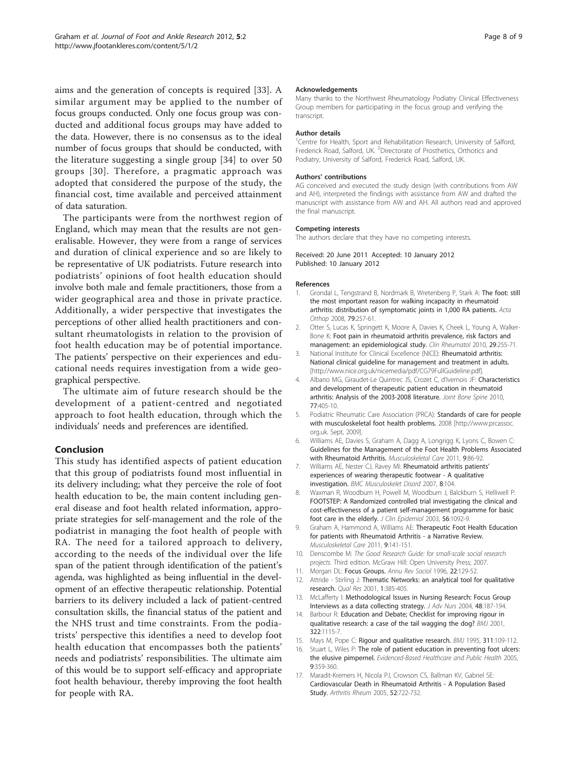<span id="page-7-0"></span>aims and the generation of concepts is required [[33\]](#page-8-0). A similar argument may be applied to the number of focus groups conducted. Only one focus group was conducted and additional focus groups may have added to the data. However, there is no consensus as to the ideal number of focus groups that should be conducted, with the literature suggesting a single group [[34](#page-8-0)] to over 50 groups [[30](#page-8-0)]. Therefore, a pragmatic approach was adopted that considered the purpose of the study, the financial cost, time available and perceived attainment of data saturation.

The participants were from the northwest region of England, which may mean that the results are not generalisable. However, they were from a range of services and duration of clinical experience and so are likely to be representative of UK podiatrists. Future research into podiatrists' opinions of foot health education should involve both male and female practitioners, those from a wider geographical area and those in private practice. Additionally, a wider perspective that investigates the perceptions of other allied health practitioners and consultant rheumatologists in relation to the provision of foot health education may be of potential importance. The patients' perspective on their experiences and educational needs requires investigation from a wide geographical perspective.

The ultimate aim of future research should be the development of a patient-centred and negotiated approach to foot health education, through which the individuals' needs and preferences are identified.

#### Conclusion

This study has identified aspects of patient education that this group of podiatrists found most influential in its delivery including; what they perceive the role of foot health education to be, the main content including general disease and foot health related information, appropriate strategies for self-management and the role of the podiatrist in managing the foot health of people with RA. The need for a tailored approach to delivery, according to the needs of the individual over the life span of the patient through identification of the patient's agenda, was highlighted as being influential in the development of an effective therapeutic relationship. Potential barriers to its delivery included a lack of patient-centred consultation skills, the financial status of the patient and the NHS trust and time constraints. From the podiatrists' perspective this identifies a need to develop foot health education that encompasses both the patients' needs and podiatrists' responsibilities. The ultimate aim of this would be to support self-efficacy and appropriate foot health behaviour, thereby improving the foot health for people with RA.

#### Acknowledgements

Many thanks to the Northwest Rheumatology Podiatry Clinical Effectiveness Group members for participating in the focus group and verifying the transcript.

#### Author details

<sup>1</sup> Centre for Health, Sport and Rehabilitation Research, University of Salford, Frederick Road, Salford, UK. <sup>2</sup> Directorate of Prosthetics, Orthotics and Podiatry, University of Salford, Frederick Road, Salford, UK.

#### Authors' contributions

AG conceived and executed the study design (with contributions from AW and AH), interpreted the findings with assistance from AW and drafted the manuscript with assistance from AW and AH. All authors read and approved the final manuscript.

#### Competing interests

The authors declare that they have no competing interests.

Received: 20 June 2011 Accepted: 10 January 2012 Published: 10 January 2012

#### References

- 1. Grondal L, Tengstrand B, Nordmark B, Wretenberg P, Stark A: [The foot: still](http://www.ncbi.nlm.nih.gov/pubmed/18484253?dopt=Abstract) [the most important reason for walking incapacity in rheumatoid](http://www.ncbi.nlm.nih.gov/pubmed/18484253?dopt=Abstract) [arthritis: distribution of symptomatic joints in 1,000 RA patients.](http://www.ncbi.nlm.nih.gov/pubmed/18484253?dopt=Abstract) Acta Orthop 2008, 79:257-61.
- 2. Otter S, Lucas K, Springett K, Moore A, Davies K, Cheek L, Young A, Walker-Bone K: [Foot pain in rheumatoid arthritis prevalence, risk factors and](http://www.ncbi.nlm.nih.gov/pubmed/19997766?dopt=Abstract) [management: an epidemiological study.](http://www.ncbi.nlm.nih.gov/pubmed/19997766?dopt=Abstract) Clin Rheumatol 2010, 29:255-71.
- 3. National Institute for Clinical Excellence (NICE): Rheumatoid arthritis: National clinical guideline for management and treatment in adults. [<http://www.nice.org.uk/nicemedia/pdf/CG79FullGuideline.pdf>].
- 4. Albano MG, Giraudet-Le Quintrec JS, Crozet C, d'Ivernois JF: [Characteristics](http://www.ncbi.nlm.nih.gov/pubmed/20381401?dopt=Abstract) [and development of therapeutic patient education in rheumatoid](http://www.ncbi.nlm.nih.gov/pubmed/20381401?dopt=Abstract) [arthritis: Analysis of the 2003-2008 literature.](http://www.ncbi.nlm.nih.gov/pubmed/20381401?dopt=Abstract) Joint Bone Spine 2010, 77:405-10.
- 5. Podiatric Rheumatic Care Association (PRCA): Standards of care for people with musculoskeletal foot health problems. 2008 [[http://www.prcassoc.](http://www.prcassoc.org.uk. Sept, 2009) [org.uk. Sept, 2009](http://www.prcassoc.org.uk. Sept, 2009)].
- 6. Williams AE, Davies S, Graham A, Dagg A, Longrigg K, Lyons C, Bowen C: [Guidelines for the Management of the Foot Health Problems Associated](http://www.ncbi.nlm.nih.gov/pubmed/21259413?dopt=Abstract) [with Rheumatoid Arthritis.](http://www.ncbi.nlm.nih.gov/pubmed/21259413?dopt=Abstract) Musculoskeletal Care 2011, 9:86-92.
- 7. Williams AE, Nester CJ, Ravey MI: [Rheumatoid arthritis patients](http://www.ncbi.nlm.nih.gov/pubmed/17976235?dopt=Abstract)' [experiences of wearing therapeutic footwear - A qualitative](http://www.ncbi.nlm.nih.gov/pubmed/17976235?dopt=Abstract) [investigation.](http://www.ncbi.nlm.nih.gov/pubmed/17976235?dopt=Abstract) BMC Musculoskelet Disord 2007, 8:104.
- 8. Waxman R, Woodburn H, Powell M, Woodburn J, Balckburn S, Helliwell P: [FOOTSTEP: A Randomized controlled trial investigating the clinical and](http://www.ncbi.nlm.nih.gov/pubmed/14615000?dopt=Abstract) [cost-effectiveness of a patient self-management programme for basic](http://www.ncbi.nlm.nih.gov/pubmed/14615000?dopt=Abstract) [foot care in the elderly.](http://www.ncbi.nlm.nih.gov/pubmed/14615000?dopt=Abstract) J Clin Epidemiol 2003, 56:1092-9.
- 9. Graham A, Hammond A, Williams AE: Therapeutic Foot Health Education for patients with Rheumatoid Arthritis - a Narrative Review. Musculoskeletal Care 2011, 9:141-151.
- 10. Denscombe M: The Good Research Guide: for small-scale social research projects. Third edition. McGraw Hill: Open University Press; 2007.
- 11. Morgan DL: Focus Groups. Annu Rev Sociol 1996, 22:129-52.
- 12. Attride Stirling J: Thematic Networks: an analytical tool for qualitative research. Qual Res 2001, 1:385-405.
- 13. McLafferty I: [Methodological Issues in Nursing Research: Focus Group](http://www.ncbi.nlm.nih.gov/pubmed/15369499?dopt=Abstract) [Interviews as a data collecting strategy.](http://www.ncbi.nlm.nih.gov/pubmed/15369499?dopt=Abstract) J Adv Nurs 2004, 48:187-194.
- 14. Barbour R: [Education and Debate; Checklist for improving rigour in](http://www.ncbi.nlm.nih.gov/pubmed/11337448?dopt=Abstract) [qualitative research: a case of the tail wagging the dog?](http://www.ncbi.nlm.nih.gov/pubmed/11337448?dopt=Abstract) BMJ 2001, 322:1115-7.
- 15. Mays M, Pope C: [Rigour and qualitative research.](http://www.ncbi.nlm.nih.gov/pubmed/7613363?dopt=Abstract) BMJ 1995, 311:109-112.
- 16. Stuart L, Wiles P: The role of patient education in preventing foot ulcers: the elusive pimpernel. Evidenced-Based Healthcare and Public Health 2005, 9:359-360.
- 17. Maradit-Kremers H, Nicola PJ, Crowson CS, Ballman KV, Gabriel SE: [Cardiovascular Death in Rheumatoid Arthritis - A Population Based](http://www.ncbi.nlm.nih.gov/pubmed/15751097?dopt=Abstract) [Study.](http://www.ncbi.nlm.nih.gov/pubmed/15751097?dopt=Abstract) Arthritis Rheum 2005, 52:722-732.